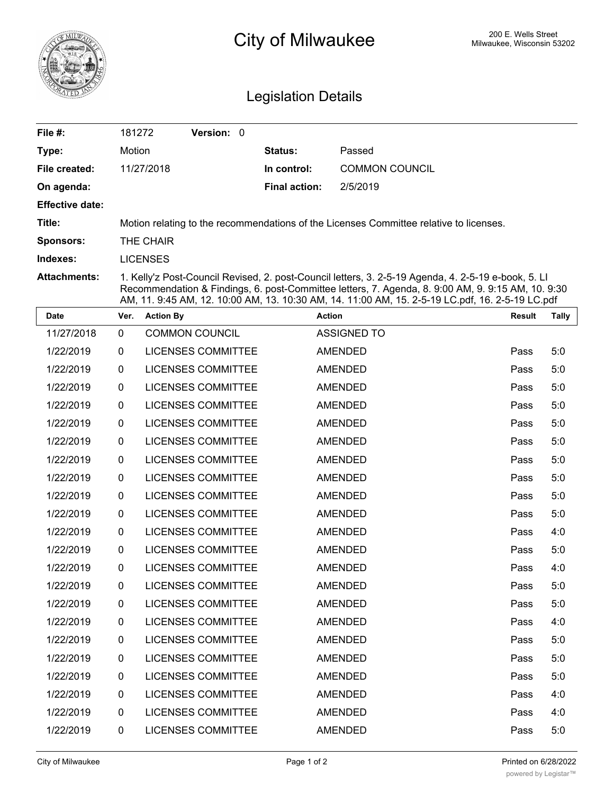

## City of Milwaukee Milwaukee, Wisconsin 53202

## Legislation Details

| File $#$ :             | 181272                                                                                                                                                                                                   | <b>Version: 0</b> |  |                      |                       |  |
|------------------------|----------------------------------------------------------------------------------------------------------------------------------------------------------------------------------------------------------|-------------------|--|----------------------|-----------------------|--|
| Type:                  | Motion                                                                                                                                                                                                   |                   |  | <b>Status:</b>       | Passed                |  |
| File created:          | 11/27/2018                                                                                                                                                                                               |                   |  | In control:          | <b>COMMON COUNCIL</b> |  |
| On agenda:             |                                                                                                                                                                                                          |                   |  | <b>Final action:</b> | 2/5/2019              |  |
| <b>Effective date:</b> |                                                                                                                                                                                                          |                   |  |                      |                       |  |
| Title:                 | Motion relating to the recommendations of the Licenses Committee relative to licenses.                                                                                                                   |                   |  |                      |                       |  |
| <b>Sponsors:</b>       | THE CHAIR                                                                                                                                                                                                |                   |  |                      |                       |  |
| Indexes:               | <b>LICENSES</b>                                                                                                                                                                                          |                   |  |                      |                       |  |
| <b>Attachments:</b>    | 1. Kelly'z Post-Council Revised, 2. post-Council letters, 3. 2-5-19 Agenda, 4. 2-5-19 e-book, 5. Ll<br>Recommendation & Findings, 6. post-Committee letters, 7. Agenda, 8. 9:00 AM, 9. 9:15 AM, 10. 9:30 |                   |  |                      |                       |  |

|            |              | AM, 11. 9:45 AM, 12. 10:00 AM, 13. 10:30 AM, 14. 11:00 AM, 15. 2-5-19 LC.pdf, 16. 2-5-19 LC.pdf |                    |               |              |  |  |  |  |
|------------|--------------|-------------------------------------------------------------------------------------------------|--------------------|---------------|--------------|--|--|--|--|
| Date       | Ver.         | <b>Action By</b>                                                                                | <b>Action</b>      | <b>Result</b> | <b>Tally</b> |  |  |  |  |
| 11/27/2018 | $\mathbf 0$  | <b>COMMON COUNCIL</b>                                                                           | <b>ASSIGNED TO</b> |               |              |  |  |  |  |
| 1/22/2019  | 0            | <b>LICENSES COMMITTEE</b>                                                                       | <b>AMENDED</b>     | Pass          | 5:0          |  |  |  |  |
| 1/22/2019  | 0            | <b>LICENSES COMMITTEE</b>                                                                       | AMENDED            | Pass          | 5:0          |  |  |  |  |
| 1/22/2019  | 0            | <b>LICENSES COMMITTEE</b>                                                                       | <b>AMENDED</b>     | Pass          | 5:0          |  |  |  |  |
| 1/22/2019  | $\mathbf 0$  | <b>LICENSES COMMITTEE</b>                                                                       | <b>AMENDED</b>     | Pass          | 5:0          |  |  |  |  |
| 1/22/2019  | $\mathbf{0}$ | <b>LICENSES COMMITTEE</b>                                                                       | <b>AMENDED</b>     | Pass          | 5:0          |  |  |  |  |
| 1/22/2019  | 0            | <b>LICENSES COMMITTEE</b>                                                                       | <b>AMENDED</b>     | Pass          | 5:0          |  |  |  |  |
| 1/22/2019  | 0            | <b>LICENSES COMMITTEE</b>                                                                       | <b>AMENDED</b>     | Pass          | 5:0          |  |  |  |  |
| 1/22/2019  | 0            | <b>LICENSES COMMITTEE</b>                                                                       | <b>AMENDED</b>     | Pass          | 5:0          |  |  |  |  |
| 1/22/2019  | 0            | <b>LICENSES COMMITTEE</b>                                                                       | <b>AMENDED</b>     | Pass          | 5:0          |  |  |  |  |
| 1/22/2019  | $\mathbf 0$  | <b>LICENSES COMMITTEE</b>                                                                       | <b>AMENDED</b>     | Pass          | 5:0          |  |  |  |  |
| 1/22/2019  | 0            | <b>LICENSES COMMITTEE</b>                                                                       | <b>AMENDED</b>     | Pass          | 4:0          |  |  |  |  |
| 1/22/2019  | $\mathbf 0$  | <b>LICENSES COMMITTEE</b>                                                                       | <b>AMENDED</b>     | Pass          | 5:0          |  |  |  |  |
| 1/22/2019  | 0            | <b>LICENSES COMMITTEE</b>                                                                       | <b>AMENDED</b>     | Pass          | 4:0          |  |  |  |  |
| 1/22/2019  | 0            | <b>LICENSES COMMITTEE</b>                                                                       | <b>AMENDED</b>     | Pass          | 5:0          |  |  |  |  |
| 1/22/2019  | $\mathbf 0$  | <b>LICENSES COMMITTEE</b>                                                                       | AMENDED            | Pass          | 5:0          |  |  |  |  |
| 1/22/2019  | 0            | <b>LICENSES COMMITTEE</b>                                                                       | <b>AMENDED</b>     | Pass          | 4:0          |  |  |  |  |
| 1/22/2019  | $\mathbf 0$  | <b>LICENSES COMMITTEE</b>                                                                       | <b>AMENDED</b>     | Pass          | 5:0          |  |  |  |  |
| 1/22/2019  | $\mathbf 0$  | <b>LICENSES COMMITTEE</b>                                                                       | <b>AMENDED</b>     | Pass          | 5:0          |  |  |  |  |
| 1/22/2019  | $\mathbf 0$  | <b>LICENSES COMMITTEE</b>                                                                       | <b>AMENDED</b>     | Pass          | 5:0          |  |  |  |  |
| 1/22/2019  | $\mathbf 0$  | <b>LICENSES COMMITTEE</b>                                                                       | <b>AMENDED</b>     | Pass          | 4:0          |  |  |  |  |
| 1/22/2019  | $\mathbf{0}$ | <b>LICENSES COMMITTEE</b>                                                                       | <b>AMENDED</b>     | Pass          | 4:0          |  |  |  |  |
| 1/22/2019  | 0            | <b>LICENSES COMMITTEE</b>                                                                       | AMENDED            | Pass          | 5:0          |  |  |  |  |